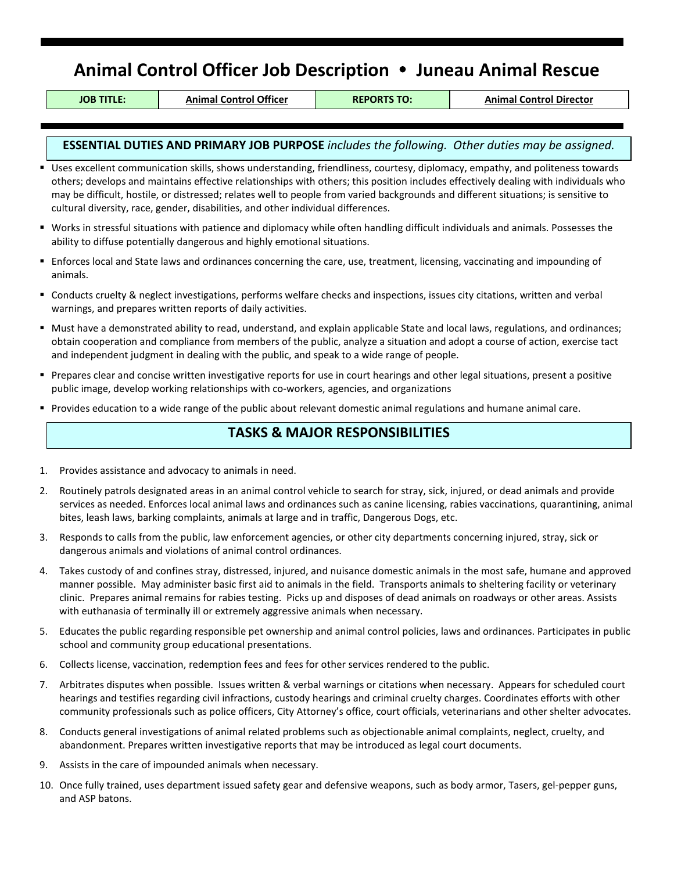# **Animal Control Officer Job Description Juneau Animal Rescue**

**JOB TITLE: Animal Control Officer REPORTS TO: Animal Control Director**

### **ESSENTIAL DUTIES AND PRIMARY JOB PURPOSE** *includes the following. Other duties may be assigned.*

- Uses excellent communication skills, shows understanding, friendliness, courtesy, diplomacy, empathy, and politeness towards others; develops and maintains effective relationships with others; this position includes effectively dealing with individuals who may be difficult, hostile, or distressed; relates well to people from varied backgrounds and different situations; is sensitive to cultural diversity, race, gender, disabilities, and other individual differences.
- Works in stressful situations with patience and diplomacy while often handling difficult individuals and animals. Possesses the ability to diffuse potentially dangerous and highly emotional situations.
- Enforces local and State laws and ordinances concerning the care, use, treatment, licensing, vaccinating and impounding of animals.
- Conducts cruelty & neglect investigations, performs welfare checks and inspections, issues city citations, written and verbal warnings, and prepares written reports of daily activities.
- Must have a demonstrated ability to read, understand, and explain applicable State and local laws, regulations, and ordinances; obtain cooperation and compliance from members of the public, analyze a situation and adopt a course of action, exercise tact and independent judgment in dealing with the public, and speak to a wide range of people.
- Prepares clear and concise written investigative reports for use in court hearings and other legal situations, present a positive public image, develop working relationships with co-workers, agencies, and organizations
- Provides education to a wide range of the public about relevant domestic animal regulations and humane animal care.

## **TASKS & MAJOR RESPONSIBILITIES**

- 1. Provides assistance and advocacy to animals in need.
- 2. Routinely patrols designated areas in an animal control vehicle to search for stray, sick, injured, or dead animals and provide services as needed. Enforces local animal laws and ordinances such as canine licensing, rabies vaccinations, quarantining, animal bites, leash laws, barking complaints, animals at large and in traffic, Dangerous Dogs, etc.
- 3. Responds to calls from the public, law enforcement agencies, or other city departments concerning injured, stray, sick or dangerous animals and violations of animal control ordinances.
- 4. Takes custody of and confines stray, distressed, injured, and nuisance domestic animals in the most safe, humane and approved manner possible. May administer basic first aid to animals in the field. Transports animals to sheltering facility or veterinary clinic. Prepares animal remains for rabies testing. Picks up and disposes of dead animals on roadways or other areas. Assists with euthanasia of terminally ill or extremely aggressive animals when necessary.
- 5. Educates the public regarding responsible pet ownership and animal control policies, laws and ordinances. Participates in public school and community group educational presentations.
- 6. Collects license, vaccination, redemption fees and fees for other services rendered to the public.
- 7. Arbitrates disputes when possible. Issues written & verbal warnings or citations when necessary. Appears for scheduled court hearings and testifies regarding civil infractions, custody hearings and criminal cruelty charges. Coordinates efforts with other community professionals such as police officers, City Attorney's office, court officials, veterinarians and other shelter advocates.
- 8. Conducts general investigations of animal related problems such as objectionable animal complaints, neglect, cruelty, and abandonment. Prepares written investigative reports that may be introduced as legal court documents.
- 9. Assists in the care of impounded animals when necessary.
- 10. Once fully trained, uses department issued safety gear and defensive weapons, such as body armor, Tasers, gel-pepper guns, and ASP batons.